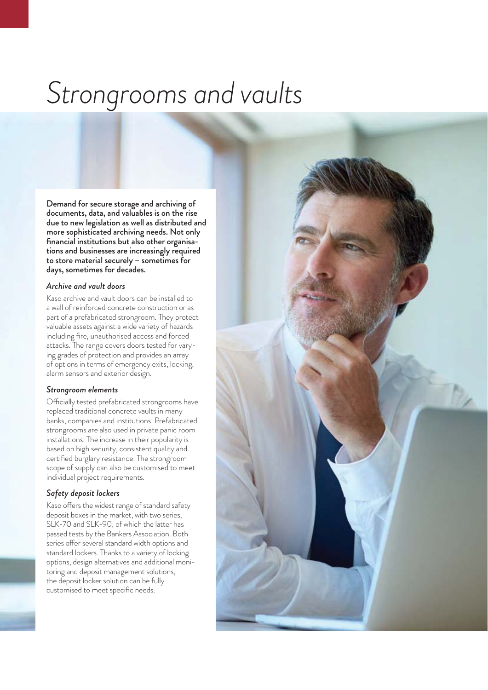# *Strongrooms and vaults*

Demand for secure storage and archiving of documents, data, and valuables is on the rise due to new legislation as well as distributed and more sophisticated archiving needs. Not only financial institutions but also other organisations and businesses are increasingly required to store material securely – sometimes for days, sometimes for decades.

## *Archive and vault doors*

Kaso archive and vault doors can be installed to a wall of reinforced concrete construction or as part of a prefabricated strongroom. They protect valuable assets against a wide variety of hazards including fire, unauthorised access and forced attacks. The range covers doors tested for varying grades of protection and provides an array of options in terms of emergency exits, locking, alarm sensors and exterior design.

#### *Strongroom elements*

Officially tested prefabricated strongrooms have replaced traditional concrete vaults in many banks, companies and institutions. Prefabricated strongrooms are also used in private panic room installations. The increase in their popularity is based on high security, consistent quality and certified burglary resistance. The strongroom scope of supply can also be customised to meet individual project requirements.

#### *Safety deposit lockers*

Kaso offers the widest range of standard safety deposit boxes in the market, with two series, SLK-70 and SLK-90, of which the latter has passed tests by the Bankers Association. Both series offer several standard width options and standard lockers. Thanks to a variety of locking options, design alternatives and additional monitoring and deposit management solutions, the deposit locker solution can be fully customised to meet specific needs.

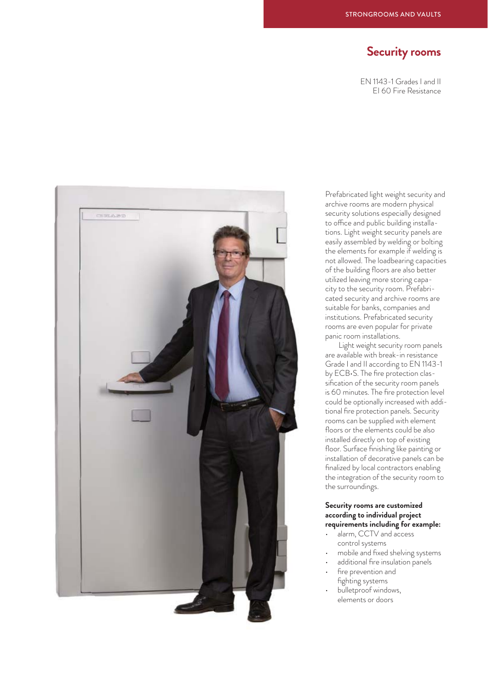# **Security rooms**

EN 1143-1 Grades I and II EI 60 Fire Resistance



Prefabricated light weight security and archive rooms are modern physical security solutions especially designed to office and public building installations. Light weight security panels are easily assembled by welding or bolting the elements for example if welding is not allowed. The loadbearing capacities of the building floors are also better utilized leaving more storing capacity to the security room. Prefabricated security and archive rooms are suitable for banks, companies and institutions. Prefabricated security rooms are even popular for private panic room installations.

 Light weight security room panels are available with break-in resistance Grade I and II according to EN 1143-1 by ECB•S. The fire protection classification of the security room panels is 60 minutes. The fire protection level could be optionally increased with additional fire protection panels. Security rooms can be supplied with element floors or the elements could be also installed directly on top of existing floor. Surface finishing like painting or installation of decorative panels can be finalized by local contractors enabling the integration of the security room to the surroundings.

## **Security rooms are customized according to individual project requirements including for example:**

- alarm, CCTV and access control systems
- mobile and fixed shelving systems
- additional fire insulation panels fire prevention and fighting systems
- bulletproof windows, elements or doors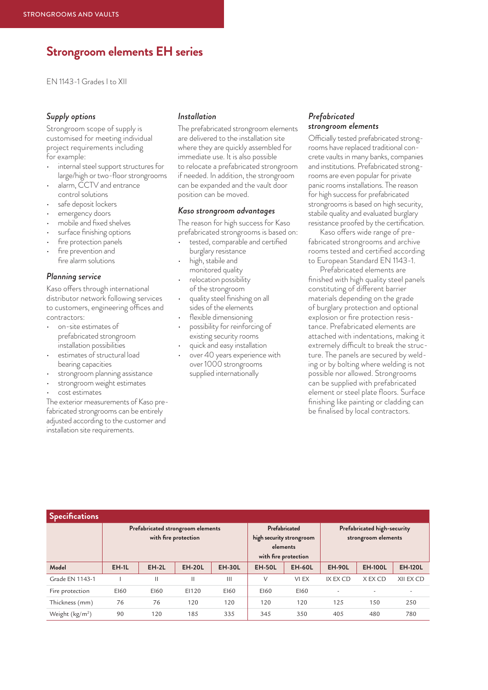# **Strongroom elements EH series**

EN 1143-1 Grades I to XII

## *Supply options*

Strongroom scope of supply is customised for meeting individual project requirements including for example:

- internal steel support structures for large/high or two-floor strongrooms
- alarm, CCTV and entrance control solutions
- safe deposit lockers
- emergency doors
- mobile and fixed shelves
- surface finishing options
- fire protection panels
- fire prevention and fire alarm solutions

#### *Planning service*

Kaso offers through international distributor network following services to customers, engineering offices and contractors:

- on-site estimates of prefabricated strongroom installation possibilities
- estimates of structural load bearing capacities
- strongroom planning assistance
- strongroom weight estimates
- cost estimates

The exterior measurements of Kaso prefabricated strongrooms can be entirely adjusted according to the customer and installation site requirements.

## *Installation*

The prefabricated strongroom elements are delivered to the installation site where they are quickly assembled for immediate use. It is also possible to relocate a prefabricated strongroom if needed. In addition, the strongroom can be expanded and the vault door position can be moved.

#### *Kaso strongroom advantages*

The reason for high success for Kaso prefabricated strongrooms is based on:

- tested, comparable and certified burglary resistance
- high, stabile and monitored quality
- relocation possibility of the strongroom
- quality steel finishing on all sides of the elements
- flexible dimensioning
- possibility for reinforcing of existing security rooms
- quick and easy installation
- over 40 years experience with over 1000 strongrooms supplied internationally

## *Prefabricated strongroom elements*

Officially tested prefabricated strongrooms have replaced traditional concrete vaults in many banks, companies and institutions. Prefabricated strongrooms are even popular for private panic rooms installations. The reason for high success for prefabricated strongrooms is based on high security, stabile quality and evaluated burglary resistance proofed by the certification.

Kaso offers wide range of prefabricated strongrooms and archive rooms tested and certified according to European Standard EN 1143-1.

Prefabricated elements are finished with high quality steel panels constituting of different barrier materials depending on the grade of burglary protection and optional explosion or fire protection resistance. Prefabricated elements are attached with indentations, making it extremely difficult to break the structure. The panels are secured by welding or by bolting where welding is not possible nor allowed. Strongrooms can be supplied with prefabricated element or steel plate floors. Surface finishing like painting or cladding can be finalised by local contractors.

| <b>Specifications</b> |                                                           |         |               |                                                                               |               |                                                    |               |                |                |
|-----------------------|-----------------------------------------------------------|---------|---------------|-------------------------------------------------------------------------------|---------------|----------------------------------------------------|---------------|----------------|----------------|
|                       | Prefabricated strongroom elements<br>with fire protection |         |               | Prefabricated<br>high security strongroom<br>elements<br>with fire protection |               | Prefabricated high-security<br>strongroom elements |               |                |                |
| Model                 | <b>EH-1L</b>                                              | $EH-2L$ | <b>EH-20L</b> | <b>EH-30L</b>                                                                 | <b>EH-50L</b> | <b>EH-60L</b>                                      | <b>EH-90L</b> | <b>EH-100L</b> | <b>EH-120L</b> |
| Grade EN 1143-1       |                                                           | Ш       | Ш             | $\mathbf{III}$                                                                | V             | VI EX                                              | IX EX CD      | X EX CD        | XII EX CD      |
| Fire protection       | E160                                                      | E160    | EI120         | E160                                                                          | E160          | E160                                               |               |                |                |
| Thickness (mm)        | 76                                                        | 76      | 120           | 120                                                                           | 120           | 120                                                | 125           | 150            | 250            |
| Weight $(kg/m2)$      | 90                                                        | 120     | 185           | 335                                                                           | 345           | 350                                                | 405           | 480            | 780            |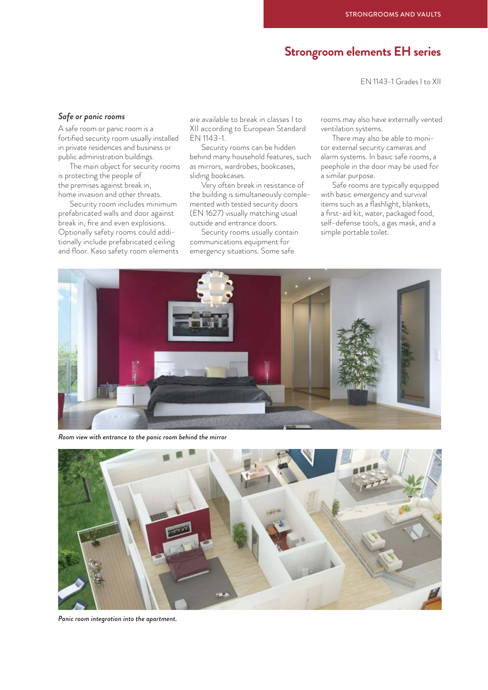# **Strongroom elements EH series**

EN 1143-1 Grades I to XII

#### *Safe or panic rooms*

A safe room or panic room is a fortified security room usually installed in private residences and business or public administration buildings.

The main object for security rooms is protecting the people of the premises against break in, home invasion and other threats.

Security room includes minimum prefabricated walls and door against break in, fire and even explosions. Optionally safety rooms could additionally include prefabricated ceiling and floor. Kaso safety room elements are available to break in classes I to XII according to European Standard EN 1143-1.

Security rooms can be hidden behind many household features, such as mirrors, wardrobes, bookcases, sliding bookcases.

Very often break in resistance of the building is simultaneously complemented with tested security doors (EN 1627) visually matching usual outside and entrance doors.

Security rooms usually contain communications equipment for emergency situations. Some safe

rooms may also have externally vented ventilation systems.

There may also be able to monitor external security cameras and alarm systems. In basic safe rooms, a peephole in the door may be used for a similar purpose.

Safe rooms are typically equipped with basic emergency and survival items such as a flashlight, blankets, a first-aid kit, water, packaged food, self-defense tools, a gas mask, and a simple portable toilet.



*Room view with entrance to the panic room behind the mirror*



*Panic room integration into the apartment.*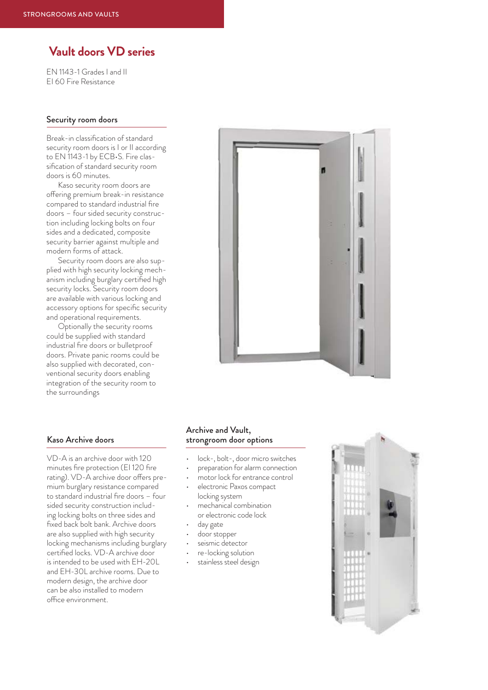# **Vault doors VD series**

EN 1143-1 Grades I and II EI 60 Fire Resistance

#### Security room doors

Break-in classification of standard security room doors is I or II according to EN 1143-1 by ECB•S. Fire classification of standard security room doors is 60 minutes.

Kaso security room doors are offering premium break-in resistance compared to standard industrial fire doors – four sided security construction including locking bolts on four sides and a dedicated, composite security barrier against multiple and modern forms of attack.

Security room doors are also supplied with high security locking mechanism including burglary certified high security locks. Security room doors are available with various locking and accessory options for specific security and operational requirements.

Optionally the security rooms could be supplied with standard industrial fire doors or bulletproof doors. Private panic rooms could be also supplied with decorated, conventional security doors enabling integration of the security room to the surroundings



#### Kaso Archive doors

VD-A is an archive door with 120 minutes fire protection (EI 120 fire rating). VD-A archive door offers premium burglary resistance compared to standard industrial fire doors – four sided security construction including locking bolts on three sides and fixed back bolt bank. Archive doors are also supplied with high security locking mechanisms including burglary certified locks. VD-A archive door is intended to be used with EH-20L and EH-30L archive rooms. Due to modern design, the archive door can be also installed to modern office environment.

## Archive and Vault, strongroom door options

- lock-, bolt-, door micro switches
- preparation for alarm connection
- motor lock for entrance control
- electronic Paxos compact locking system
- mechanical combination or electronic code lock
- day gate
- door stopper
- seismic detector
- re-locking solution
- stainless steel design

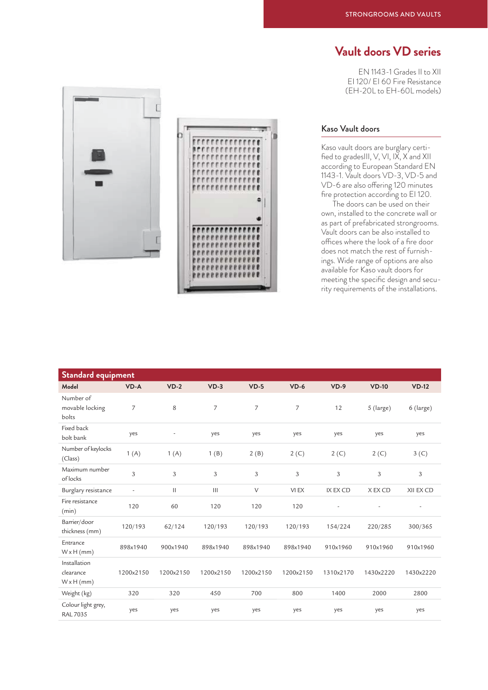# **Vault doors VD series**

EN 1143-1 Grades II to XII EI 120/ EI 60 Fire Resistance (EH-20L to EH-60L models)





## Kaso Vault doors

Kaso vault doors are burglary certified to gradesIII,  $V$ ,  $VI$ ,  $IX$ ,  $X$  and  $XII$ according to European Standard EN 1143-1. Vault doors VD-3, VD-5 and VD-6 are also offering 120 minutes fire protection according to EI 120.

The doors can be used on their own, installed to the concrete wall or as part of prefabricated strongrooms. Vault doors can be also installed to offices where the look of a fire door does not match the rest of furnishings. Wide range of options are also available for Kaso vault doors for meeting the specific design and security requirements of the installations.

| <b>Standard equipment</b>                      |                          |                          |           |           |           |                          |           |                          |
|------------------------------------------------|--------------------------|--------------------------|-----------|-----------|-----------|--------------------------|-----------|--------------------------|
| Model                                          | $VD - A$                 | $VD-2$                   | $VD-3$    | $VD-5$    | $VD-6$    | $VD-9$                   | $VD-10$   | $VD-12$                  |
| Number of<br>movable locking<br>bolts          | $\overline{7}$           | 8                        | 7         | 7         | 7         | 12                       | 5 (large) | 6 (large)                |
| Fixed back<br>bolt bank                        | yes                      | $\overline{\phantom{a}}$ | yes       | yes       | yes       | yes                      | yes       | yes                      |
| Number of keylocks<br>(Class)                  | 1(A)                     | 1(A)                     | 1(B)      | 2(B)      | 2(C)      | 2(C)                     | 2(C)      | 3 <sup>(C)</sup>         |
| Maximum number<br>oflocks                      | $\mathfrak{Z}$           | 3                        | 3         | 3         | 3         | 3                        | 3         | 3                        |
| Burglary resistance                            | $\overline{\phantom{a}}$ | $\mathbf{H}$             | III       | $\vee$    | VI EX     | <b>IX EX CD</b>          | X EX CD   | XII EX CD                |
| Fire resistance<br>(min)                       | 120                      | 60                       | 120       | 120       | 120       | $\overline{\phantom{a}}$ | $\sim$    | $\overline{\phantom{a}}$ |
| Barrier/door<br>thickness (mm)                 | 120/193                  | 62/124                   | 120/193   | 120/193   | 120/193   | 154/224                  | 220/285   | 300/365                  |
| Entrance<br>$W \times H$ (mm)                  | 898x1940                 | 900x1940                 | 898x1940  | 898x1940  | 898x1940  | 910x1960                 | 910x1960  | 910x1960                 |
| Installation<br>clearance<br>$W \times H$ (mm) | 1200x2150                | 1200x2150                | 1200x2150 | 1200x2150 | 1200x2150 | 1310x2170                | 1430x2220 | 1430x2220                |
| Weight (kg)                                    | 320                      | 320                      | 450       | 700       | 800       | 1400                     | 2000      | 2800                     |
| Colour light grey,<br><b>RAL 7035</b>          | yes                      | yes                      | yes       | yes       | yes       | yes                      | yes       | yes                      |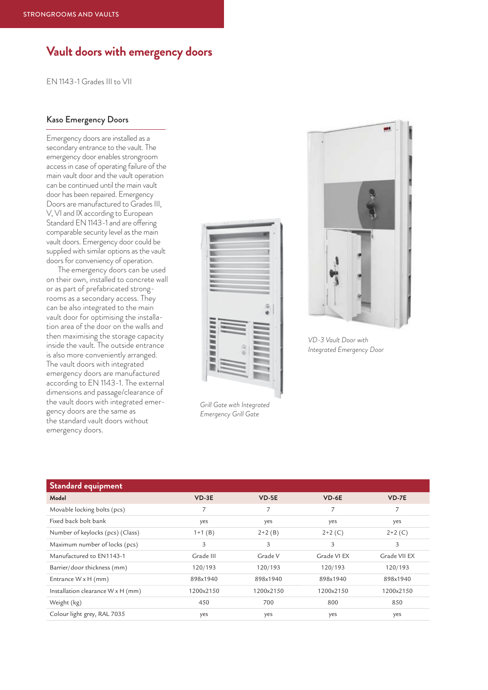# **Vault doors with emergency doors**

EN 1143-1 Grades III to VII

## Kaso Emergency Doors

Emergency doors are installed as a secondary entrance to the vault. The emergency door enables strongroom access in case of operating failure of the main vault door and the vault operation can be continued until the main vault door has been repaired. Emergency Doors are manufactured to Grades III, V, VI and IX according to European Standard EN 1143-1 and are offering comparable security level as the main vault doors. Emergency door could be supplied with similar options as the vault doors for conveniency of operation.

The emergency doors can be used on their own, installed to concrete wall or as part of prefabricated strongrooms as a secondary access. They can be also integrated to the main vault door for optimising the installation area of the door on the walls and then maximising the storage capacity inside the vault. The outside entrance is also more conveniently arranged. The vault doors with integrated emergency doors are manufactured according to EN 1143-1. The external dimensions and passage/clearance of the vault doors with integrated emergency doors are the same as the standard vault doors without emergency doors.



*Grill Gate with Integrated Emergency Grill Gate*



*VD-3 Vault Door with Integrated Emergency Door*

| Standard equipment                |           |           |             |              |
|-----------------------------------|-----------|-----------|-------------|--------------|
| Model                             | $VD-3E$   | $VD-5E$   | $VD-6E$     | $VD-7E$      |
| Movable locking bolts (pcs)       | 7         |           | 7           | 7            |
| Fixed back bolt bank              | yes       | yes       | yes         | yes          |
| Number of keylocks (pcs) (Class)  | $1+1(B)$  | $2+2(B)$  | $2+2(C)$    | $2+2(C)$     |
| Maximum number of locks (pcs)     | 3         | 3         | 3           | 3            |
| Manufactured to EN1143-1          | Grade III | Grade V   | Grade VI EX | Grade VII EX |
| Barrier/door thickness (mm)       | 120/193   | 120/193   | 120/193     | 120/193      |
| Entrance W x H (mm)               | 898x1940  | 898x1940  | 898x1940    | 898x1940     |
| Installation clearance W x H (mm) | 1200x2150 | 1200x2150 | 1200x2150   | 1200x2150    |
| Weight (kg)                       | 450       | 700       | 800         | 850          |
| Colour light grey, RAL 7035       | yes       | yes       | yes         | yes          |